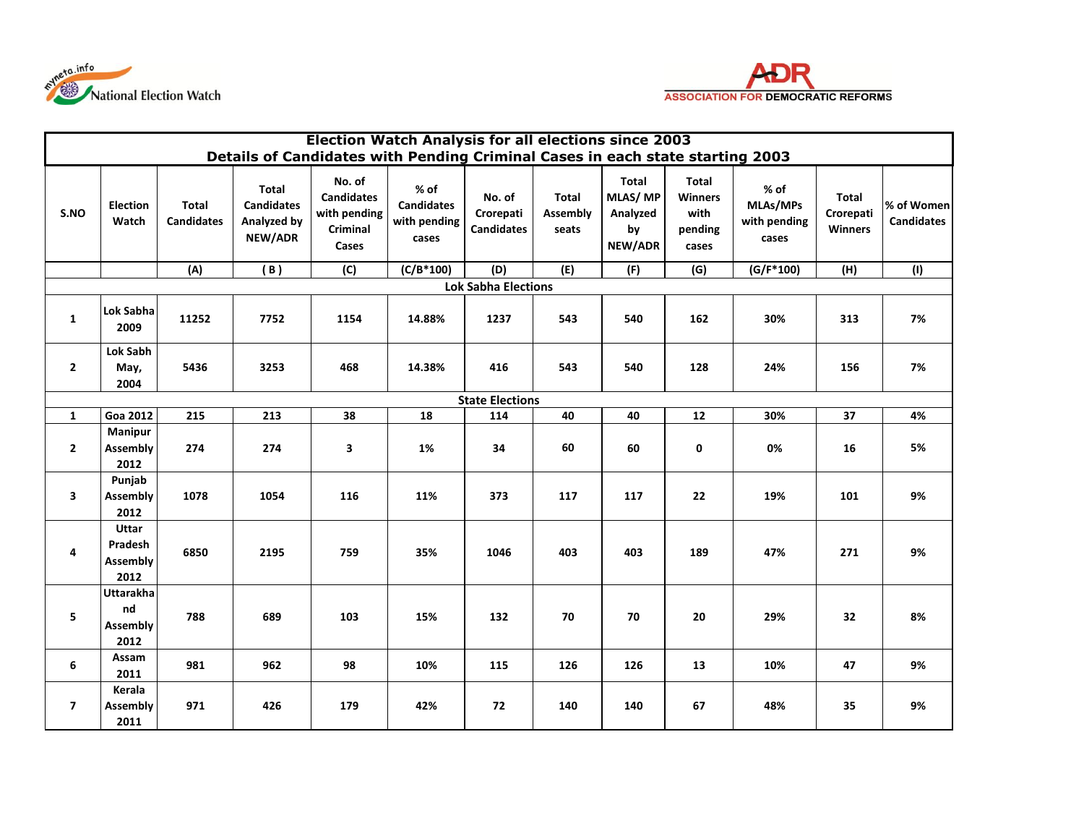



|                            | <b>Election Watch Analysis for all elections since 2003</b>                   |                                   |                                                      |                                                                  |                                                      |                                          |                                          |                                                             |                                                     |                                             |                                             |                                 |  |  |
|----------------------------|-------------------------------------------------------------------------------|-----------------------------------|------------------------------------------------------|------------------------------------------------------------------|------------------------------------------------------|------------------------------------------|------------------------------------------|-------------------------------------------------------------|-----------------------------------------------------|---------------------------------------------|---------------------------------------------|---------------------------------|--|--|
|                            | Details of Candidates with Pending Criminal Cases in each state starting 2003 |                                   |                                                      |                                                                  |                                                      |                                          |                                          |                                                             |                                                     |                                             |                                             |                                 |  |  |
| S.NO                       | <b>Election</b><br>Watch                                                      | <b>Total</b><br><b>Candidates</b> | Total<br><b>Candidates</b><br>Analyzed by<br>NEW/ADR | No. of<br><b>Candidates</b><br>with pending<br>Criminal<br>Cases | $%$ of<br><b>Candidates</b><br>with pending<br>cases | No. of<br>Crorepati<br><b>Candidates</b> | <b>Total</b><br><b>Assembly</b><br>seats | <b>Total</b><br><b>MLAS/MP</b><br>Analyzed<br>by<br>NEW/ADR | Total<br><b>Winners</b><br>with<br>pending<br>cases | $%$ of<br>MLAs/MPs<br>with pending<br>cases | <b>Total</b><br>Crorepati<br><b>Winners</b> | % of Women<br><b>Candidates</b> |  |  |
|                            |                                                                               | (A)                               | (B)                                                  | (C)                                                              | $(C/B*100)$                                          | (D)                                      | (E)                                      | (F)                                                         | (G)                                                 | $(G/F*100)$                                 | (H)                                         | (1)                             |  |  |
| <b>Lok Sabha Elections</b> |                                                                               |                                   |                                                      |                                                                  |                                                      |                                          |                                          |                                                             |                                                     |                                             |                                             |                                 |  |  |
| $\mathbf{1}$               | Lok Sabha<br>2009                                                             | 11252                             | 7752                                                 | 1154                                                             | 14.88%                                               | 1237                                     | 543                                      | 540                                                         | 162                                                 | 30%                                         | 313                                         | 7%                              |  |  |
| $\overline{2}$             | <b>Lok Sabh</b><br>May,<br>2004                                               | 5436                              | 3253                                                 | 468                                                              | 14.38%                                               | 416                                      | 543                                      | 540                                                         | 128                                                 | 24%                                         | 156                                         | 7%                              |  |  |
|                            | <b>State Elections</b>                                                        |                                   |                                                      |                                                                  |                                                      |                                          |                                          |                                                             |                                                     |                                             |                                             |                                 |  |  |
| $\mathbf{1}$               | <b>Goa 2012</b>                                                               | 215                               | 213                                                  | 38                                                               | 18                                                   | 114                                      | 40                                       | 40                                                          | 12                                                  | 30%                                         | 37                                          | 4%                              |  |  |
| $\mathbf{2}$               | Manipur<br><b>Assembly</b><br>2012                                            | 274                               | 274                                                  | 3                                                                | 1%                                                   | 34                                       | 60                                       | 60                                                          | 0                                                   | 0%                                          | 16                                          | 5%                              |  |  |
| 3                          | Punjab<br>Assembly<br>2012                                                    | 1078                              | 1054                                                 | 116                                                              | 11%                                                  | 373                                      | 117                                      | 117                                                         | 22                                                  | 19%                                         | 101                                         | 9%                              |  |  |
| 4                          | Uttar<br>Pradesh<br>Assembly<br>2012                                          | 6850                              | 2195                                                 | 759                                                              | 35%                                                  | 1046                                     | 403                                      | 403                                                         | 189                                                 | 47%                                         | 271                                         | 9%                              |  |  |
| 5                          | Uttarakha<br>nd<br>Assembly<br>2012                                           | 788                               | 689                                                  | 103                                                              | 15%                                                  | 132                                      | 70                                       | 70                                                          | 20                                                  | 29%                                         | 32                                          | 8%                              |  |  |
| 6                          | Assam<br>2011                                                                 | 981                               | 962                                                  | 98                                                               | 10%                                                  | 115                                      | 126                                      | 126                                                         | 13                                                  | 10%                                         | 47                                          | 9%                              |  |  |
| $\overline{7}$             | Kerala<br><b>Assembly</b><br>2011                                             | 971                               | 426                                                  | 179                                                              | 42%                                                  | 72                                       | 140                                      | 140                                                         | 67                                                  | 48%                                         | 35                                          | 9%                              |  |  |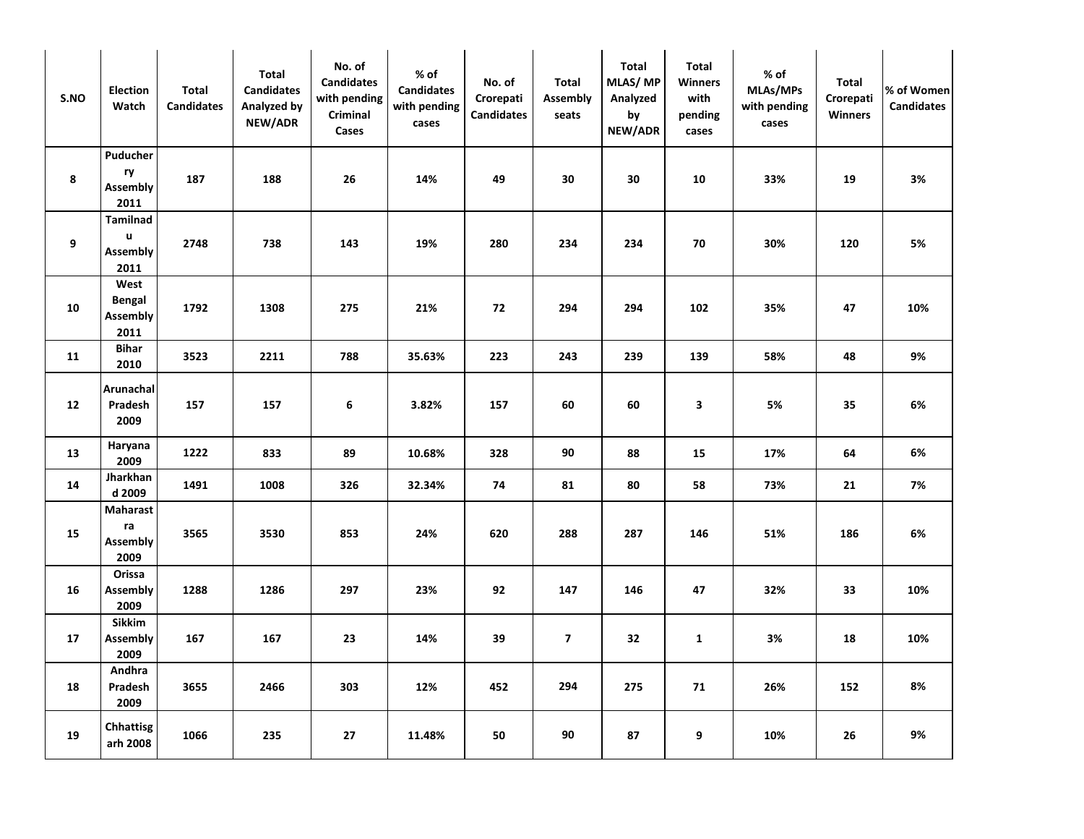| S.NO | <b>Election</b><br>Watch                  | Total<br><b>Candidates</b> | Total<br><b>Candidates</b><br>Analyzed by<br>NEW/ADR | No. of<br><b>Candidates</b><br>with pending<br>Criminal<br>Cases | % of<br><b>Candidates</b><br>with pending<br>cases | No. of<br>Crorepati<br><b>Candidates</b> | Total<br>Assembly<br>seats | Total<br>MLAS/MP<br>Analyzed<br>by<br>NEW/ADR | <b>Total</b><br><b>Winners</b><br>with<br>pending<br>cases | $%$ of<br>MLAs/MPs<br>with pending<br>cases | Total<br>Crorepati<br>Winners | % of Women<br><b>Candidates</b> |
|------|-------------------------------------------|----------------------------|------------------------------------------------------|------------------------------------------------------------------|----------------------------------------------------|------------------------------------------|----------------------------|-----------------------------------------------|------------------------------------------------------------|---------------------------------------------|-------------------------------|---------------------------------|
| 8    | Puducher<br>ry<br>Assembly<br>2011        | 187                        | 188                                                  | 26                                                               | 14%                                                | 49                                       | 30                         | 30                                            | 10                                                         | 33%                                         | 19                            | 3%                              |
| 9    | Tamilnad<br>u<br>Assembly<br>2011         | 2748                       | 738                                                  | 143                                                              | 19%                                                | 280                                      | 234                        | 234                                           | 70                                                         | 30%                                         | 120                           | 5%                              |
| 10   | West<br>Bengal<br>Assembly<br>2011        | 1792                       | 1308                                                 | 275                                                              | 21%                                                | 72                                       | 294                        | 294                                           | 102                                                        | 35%                                         | 47                            | 10%                             |
| 11   | <b>Bihar</b><br>2010                      | 3523                       | 2211                                                 | 788                                                              | 35.63%                                             | 223                                      | 243                        | 239                                           | 139                                                        | 58%                                         | 48                            | 9%                              |
| 12   | Arunachal<br>Pradesh<br>2009              | 157                        | 157                                                  | 6                                                                | 3.82%                                              | 157                                      | 60                         | 60                                            | 3                                                          | 5%                                          | 35                            | 6%                              |
| 13   | Haryana<br>2009                           | 1222                       | 833                                                  | 89                                                               | 10.68%                                             | 328                                      | 90                         | 88                                            | 15                                                         | 17%                                         | 64                            | 6%                              |
| 14   | Jharkhan<br>d 2009                        | 1491                       | 1008                                                 | 326                                                              | 32.34%                                             | 74                                       | 81                         | 80                                            | 58                                                         | 73%                                         | 21                            | 7%                              |
| 15   | <b>Maharast</b><br>ra<br>Assembly<br>2009 | 3565                       | 3530                                                 | 853                                                              | 24%                                                | 620                                      | 288                        | 287                                           | 146                                                        | 51%                                         | 186                           | 6%                              |
| 16   | Orissa<br>Assembly<br>2009                | 1288                       | 1286                                                 | 297                                                              | 23%                                                | 92                                       | 147                        | 146                                           | 47                                                         | 32%                                         | 33                            | 10%                             |
| 17   | Sikkim<br>Assembly<br>2009                | 167                        | 167                                                  | 23                                                               | 14%                                                | 39                                       | $\overline{7}$             | 32                                            | $\mathbf{1}$                                               | 3%                                          | 18                            | 10%                             |
| 18   | Andhra<br>Pradesh<br>2009                 | 3655                       | 2466                                                 | 303                                                              | 12%                                                | 452                                      | 294                        | 275                                           | 71                                                         | 26%                                         | 152                           | 8%                              |
| 19   | <b>Chhattisg</b><br>arh 2008              | 1066                       | 235                                                  | 27                                                               | 11.48%                                             | 50                                       | 90                         | 87                                            | 9                                                          | 10%                                         | 26                            | 9%                              |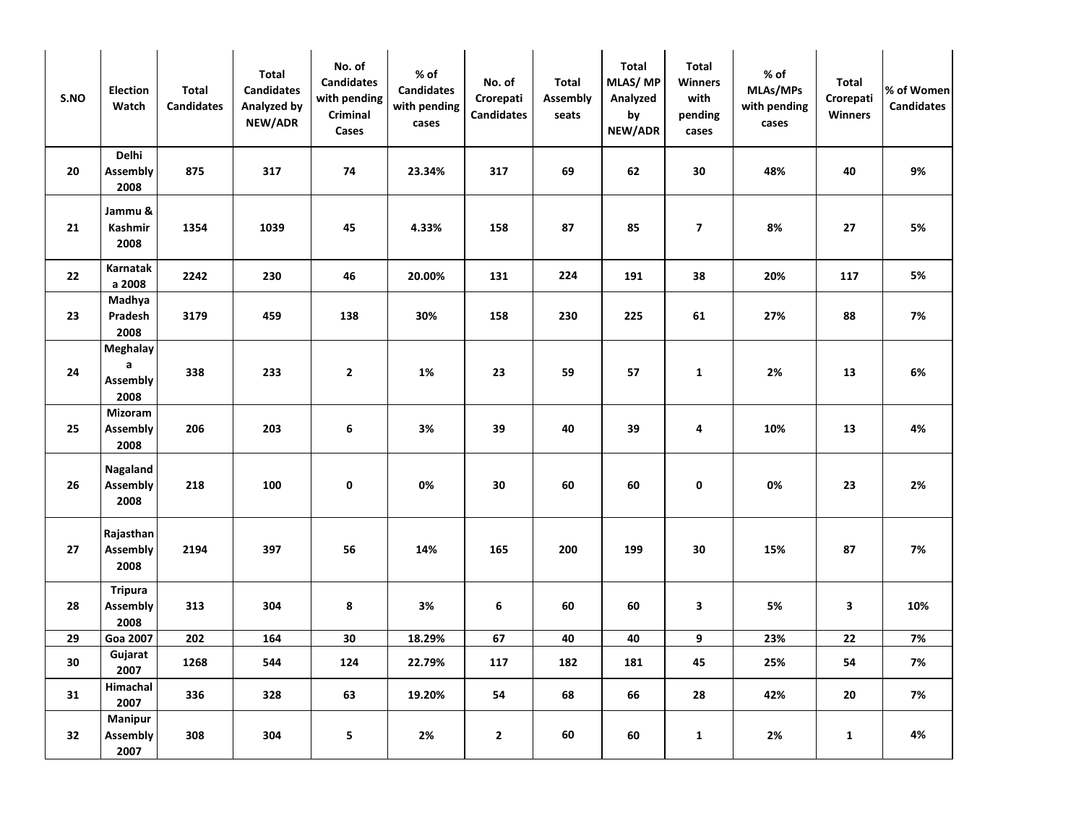| S.NO | <b>Election</b><br>Watch                 | Total<br><b>Candidates</b> | Total<br><b>Candidates</b><br>Analyzed by<br>NEW/ADR | No. of<br><b>Candidates</b><br>with pending<br>Criminal<br>Cases | % of<br><b>Candidates</b><br>with pending<br>cases | No. of<br>Crorepati<br><b>Candidates</b> | Total<br>Assembly<br>seats | Total<br>MLAS/MP<br>Analyzed<br>by<br>NEW/ADR | <b>Total</b><br>Winners<br>with<br>pending<br>cases | $%$ of<br>MLAs/MPs<br>with pending<br>cases | Total<br>Crorepati<br>Winners | % of Women<br><b>Candidates</b> |
|------|------------------------------------------|----------------------------|------------------------------------------------------|------------------------------------------------------------------|----------------------------------------------------|------------------------------------------|----------------------------|-----------------------------------------------|-----------------------------------------------------|---------------------------------------------|-------------------------------|---------------------------------|
| 20   | Delhi<br>Assembly<br>2008                | 875                        | 317                                                  | 74                                                               | 23.34%                                             | 317                                      | 69                         | 62                                            | 30                                                  | 48%                                         | 40                            | 9%                              |
| 21   | Jammu &<br>Kashmir<br>2008               | 1354                       | 1039                                                 | 45                                                               | 4.33%                                              | 158                                      | 87                         | 85                                            | $\overline{\mathbf{z}}$                             | 8%                                          | 27                            | 5%                              |
| 22   | Karnatak<br>a 2008                       | 2242                       | 230                                                  | 46                                                               | 20.00%                                             | 131                                      | 224                        | 191                                           | 38                                                  | 20%                                         | 117                           | 5%                              |
| 23   | Madhya<br>Pradesh<br>2008                | 3179                       | 459                                                  | 138                                                              | 30%                                                | 158                                      | 230                        | 225                                           | 61                                                  | 27%                                         | 88                            | 7%                              |
| 24   | <b>Meghalay</b><br>a<br>Assembly<br>2008 | 338                        | 233                                                  | $\overline{2}$                                                   | 1%                                                 | 23                                       | 59                         | 57                                            | $\mathbf{1}$                                        | 2%                                          | 13                            | 6%                              |
| 25   | Mizoram<br>Assembly<br>2008              | 206                        | 203                                                  | 6                                                                | 3%                                                 | 39                                       | 40                         | 39                                            | 4                                                   | 10%                                         | 13                            | 4%                              |
| 26   | Nagaland<br>Assembly<br>2008             | 218                        | 100                                                  | 0                                                                | 0%                                                 | 30                                       | 60                         | 60                                            | 0                                                   | 0%                                          | 23                            | 2%                              |
| 27   | Rajasthan<br>Assembly<br>2008            | 2194                       | 397                                                  | 56                                                               | 14%                                                | 165                                      | 200                        | 199                                           | 30                                                  | 15%                                         | 87                            | 7%                              |
| 28   | <b>Tripura</b><br>Assembly<br>2008       | 313                        | 304                                                  | 8                                                                | 3%                                                 | 6                                        | 60                         | 60                                            | 3                                                   | 5%                                          | 3                             | 10%                             |
| 29   | Goa 2007                                 | 202                        | 164                                                  | 30                                                               | 18.29%                                             | 67                                       | 40                         | 40                                            | 9                                                   | 23%                                         | ${\bf 22}$                    | 7%                              |
| 30   | Gujarat<br>2007                          | 1268                       | 544                                                  | 124                                                              | 22.79%                                             | 117                                      | 182                        | 181                                           | 45                                                  | 25%                                         | 54                            | 7%                              |
| 31   | Himachal<br>2007                         | 336                        | 328                                                  | 63                                                               | 19.20%                                             | 54                                       | 68                         | 66                                            | 28                                                  | 42%                                         | 20                            | 7%                              |
| 32   | <b>Manipur</b><br>Assembly<br>2007       | 308                        | 304                                                  | 5                                                                | 2%                                                 | $\mathbf{2}$                             | 60                         | 60                                            | $\mathbf{1}$                                        | 2%                                          | $\mathbf{1}$                  | 4%                              |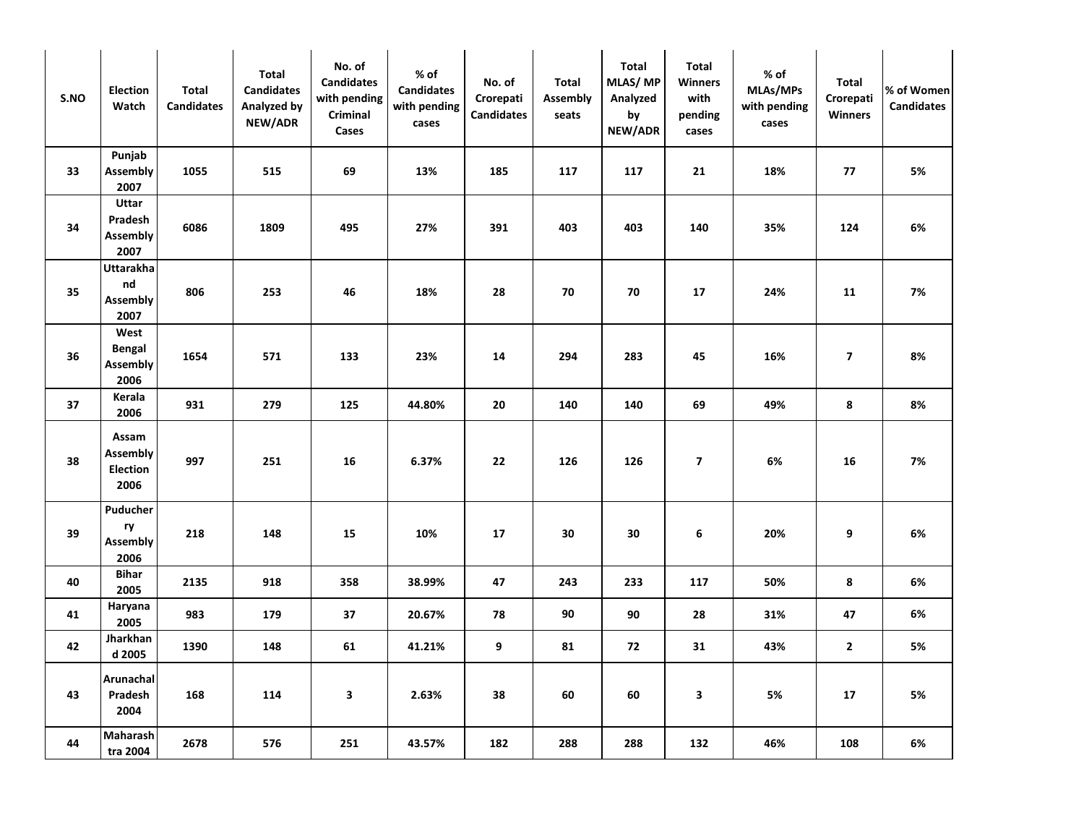| S.NO | <b>Election</b><br>Watch                     | Total<br><b>Candidates</b> | Total<br><b>Candidates</b><br>Analyzed by<br>NEW/ADR | No. of<br><b>Candidates</b><br>with pending<br>Criminal<br>Cases | % of<br><b>Candidates</b><br>with pending<br>cases | No. of<br>Crorepati<br><b>Candidates</b> | Total<br><b>Assembly</b><br>seats | Total<br>MLAS/MP<br>Analyzed<br>by<br>NEW/ADR | <b>Total</b><br>Winners<br>with<br>pending<br>cases | $%$ of<br>MLAs/MPs<br>with pending<br>cases | Total<br>Crorepati<br>Winners | % of Women<br><b>Candidates</b> |
|------|----------------------------------------------|----------------------------|------------------------------------------------------|------------------------------------------------------------------|----------------------------------------------------|------------------------------------------|-----------------------------------|-----------------------------------------------|-----------------------------------------------------|---------------------------------------------|-------------------------------|---------------------------------|
| 33   | Punjab<br>Assembly<br>2007                   | 1055                       | 515                                                  | 69                                                               | 13%                                                | 185                                      | 117                               | 117                                           | 21                                                  | 18%                                         | 77                            | 5%                              |
| 34   | Uttar<br>Pradesh<br><b>Assembly</b><br>2007  | 6086                       | 1809                                                 | 495                                                              | 27%                                                | 391                                      | 403                               | 403                                           | 140                                                 | 35%                                         | 124                           | 6%                              |
| 35   | <b>Uttarakha</b><br>nd<br>Assembly<br>2007   | 806                        | 253                                                  | 46                                                               | 18%                                                | 28                                       | 70                                | 70                                            | 17                                                  | 24%                                         | 11                            | 7%                              |
| 36   | West<br>Bengal<br><b>Assembly</b><br>2006    | 1654                       | 571                                                  | 133                                                              | 23%                                                | 14                                       | 294                               | 283                                           | 45                                                  | 16%                                         | $\overline{\mathbf{z}}$       | 8%                              |
| 37   | Kerala<br>2006                               | 931                        | 279                                                  | 125                                                              | 44.80%                                             | 20                                       | 140                               | 140                                           | 69                                                  | 49%                                         | 8                             | 8%                              |
| 38   | Assam<br><b>Assembly</b><br>Election<br>2006 | 997                        | 251                                                  | 16                                                               | 6.37%                                              | 22                                       | 126                               | 126                                           | $\overline{\mathbf{z}}$                             | 6%                                          | 16                            | 7%                              |
| 39   | Puducher<br>ry<br>Assembly<br>2006           | 218                        | 148                                                  | 15                                                               | 10%                                                | 17                                       | 30                                | 30                                            | 6                                                   | 20%                                         | 9                             | 6%                              |
| 40   | <b>Bihar</b><br>2005                         | 2135                       | 918                                                  | 358                                                              | 38.99%                                             | 47                                       | 243                               | 233                                           | 117                                                 | 50%                                         | 8                             | 6%                              |
| 41   | Haryana<br>2005                              | 983                        | 179                                                  | 37                                                               | 20.67%                                             | 78                                       | 90                                | 90                                            | 28                                                  | 31%                                         | 47                            | 6%                              |
| 42   | Jharkhan<br>d 2005                           | 1390                       | 148                                                  | 61                                                               | 41.21%                                             | 9                                        | 81                                | 72                                            | 31                                                  | 43%                                         | $\mathbf{2}$                  | 5%                              |
| 43   | Arunachal<br>Pradesh<br>2004                 | 168                        | 114                                                  | 3                                                                | 2.63%                                              | 38                                       | 60                                | 60                                            | $\mathbf{3}$                                        | 5%                                          | 17                            | 5%                              |
| 44   | Maharash<br>tra 2004                         | 2678                       | 576                                                  | 251                                                              | 43.57%                                             | 182                                      | 288                               | 288                                           | 132                                                 | 46%                                         | 108                           | 6%                              |